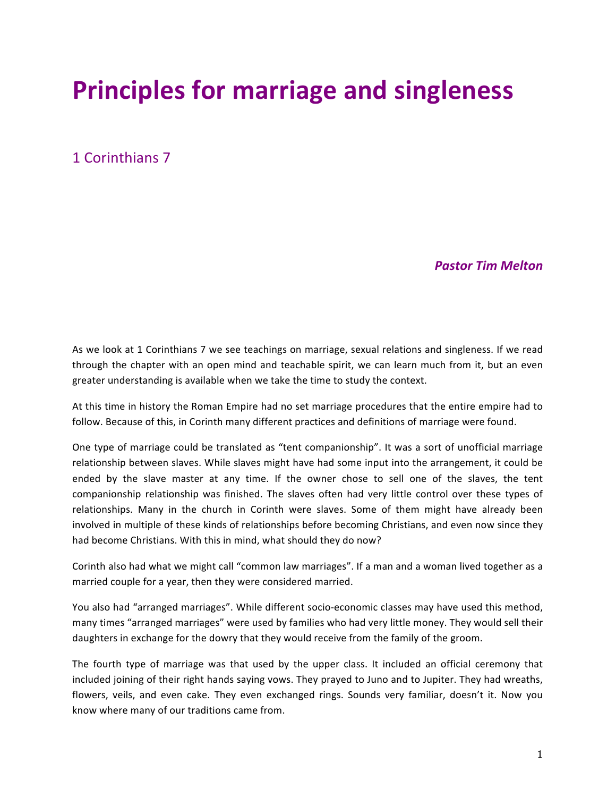# **Principles for marriage and singleness**

1 Corinthians 7

*Pastor Tim Melton*

As we look at 1 Corinthians 7 we see teachings on marriage, sexual relations and singleness. If we read through the chapter with an open mind and teachable spirit, we can learn much from it, but an even greater understanding is available when we take the time to study the context.

At this time in history the Roman Empire had no set marriage procedures that the entire empire had to follow. Because of this, in Corinth many different practices and definitions of marriage were found.

One type of marriage could be translated as "tent companionship". It was a sort of unofficial marriage relationship between slaves. While slaves might have had some input into the arrangement, it could be ended by the slave master at any time. If the owner chose to sell one of the slaves, the tent companionship relationship was finished. The slaves often had very little control over these types of relationships. Many in the church in Corinth were slaves. Some of them might have already been involved in multiple of these kinds of relationships before becoming Christians, and even now since they had become Christians. With this in mind, what should they do now?

Corinth also had what we might call "common law marriages". If a man and a woman lived together as a married couple for a year, then they were considered married.

You also had "arranged marriages". While different socio-economic classes may have used this method, many times "arranged marriages" were used by families who had very little money. They would sell their daughters in exchange for the dowry that they would receive from the family of the groom.

The fourth type of marriage was that used by the upper class. It included an official ceremony that included joining of their right hands saying vows. They prayed to Juno and to Jupiter. They had wreaths, flowers, veils, and even cake. They even exchanged rings. Sounds very familiar, doesn't it. Now you know where many of our traditions came from.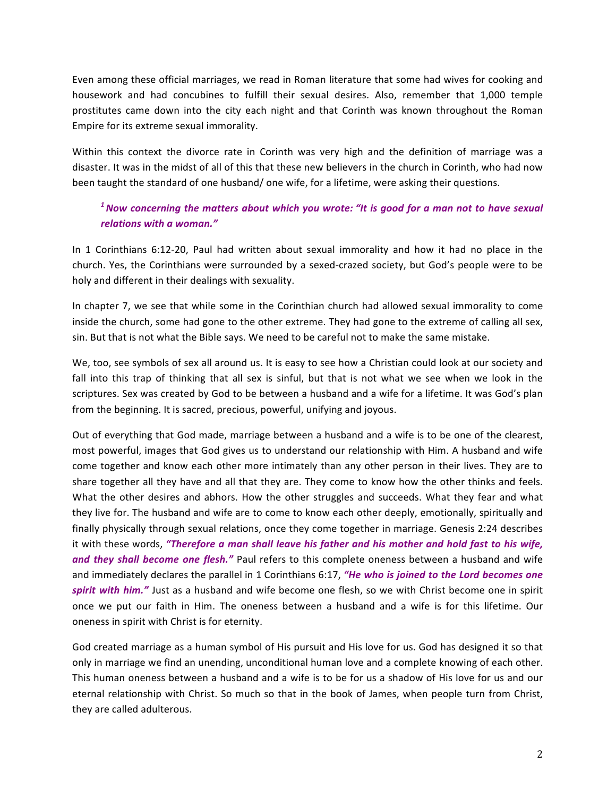Even among these official marriages, we read in Roman literature that some had wives for cooking and housework and had concubines to fulfill their sexual desires. Also, remember that 1,000 temple prostitutes came down into the city each night and that Corinth was known throughout the Roman Empire for its extreme sexual immorality.

Within this context the divorce rate in Corinth was very high and the definition of marriage was a disaster. It was in the midst of all of this that these new believers in the church in Corinth, who had now been taught the standard of one husband/ one wife, for a lifetime, were asking their questions.

## <sup>1</sup> Now concerning the matters about which you wrote: "It is good for a man not to have sexual *relations with a woman."*

In 1 Corinthians 6:12-20, Paul had written about sexual immorality and how it had no place in the church. Yes, the Corinthians were surrounded by a sexed-crazed society, but God's people were to be holy and different in their dealings with sexuality.

In chapter 7, we see that while some in the Corinthian church had allowed sexual immorality to come inside the church, some had gone to the other extreme. They had gone to the extreme of calling all sex, sin. But that is not what the Bible says. We need to be careful not to make the same mistake.

We, too, see symbols of sex all around us. It is easy to see how a Christian could look at our society and fall into this trap of thinking that all sex is sinful, but that is not what we see when we look in the scriptures. Sex was created by God to be between a husband and a wife for a lifetime. It was God's plan from the beginning. It is sacred, precious, powerful, unifying and joyous.

Out of everything that God made, marriage between a husband and a wife is to be one of the clearest, most powerful, images that God gives us to understand our relationship with Him. A husband and wife come together and know each other more intimately than any other person in their lives. They are to share together all they have and all that they are. They come to know how the other thinks and feels. What the other desires and abhors. How the other struggles and succeeds. What they fear and what they live for. The husband and wife are to come to know each other deeply, emotionally, spiritually and finally physically through sexual relations, once they come together in marriage. Genesis 2:24 describes it with these words, "Therefore a man shall leave his father and his mother and hold fast to his wife, and they shall become one flesh." Paul refers to this complete oneness between a husband and wife and immediately declares the parallel in 1 Corinthians 6:17, "He who is joined to the Lord becomes one spirit with him." Just as a husband and wife become one flesh, so we with Christ become one in spirit once we put our faith in Him. The oneness between a husband and a wife is for this lifetime. Our oneness in spirit with Christ is for eternity.

God created marriage as a human symbol of His pursuit and His love for us. God has designed it so that only in marriage we find an unending, unconditional human love and a complete knowing of each other. This human oneness between a husband and a wife is to be for us a shadow of His love for us and our eternal relationship with Christ. So much so that in the book of James, when people turn from Christ, they are called adulterous.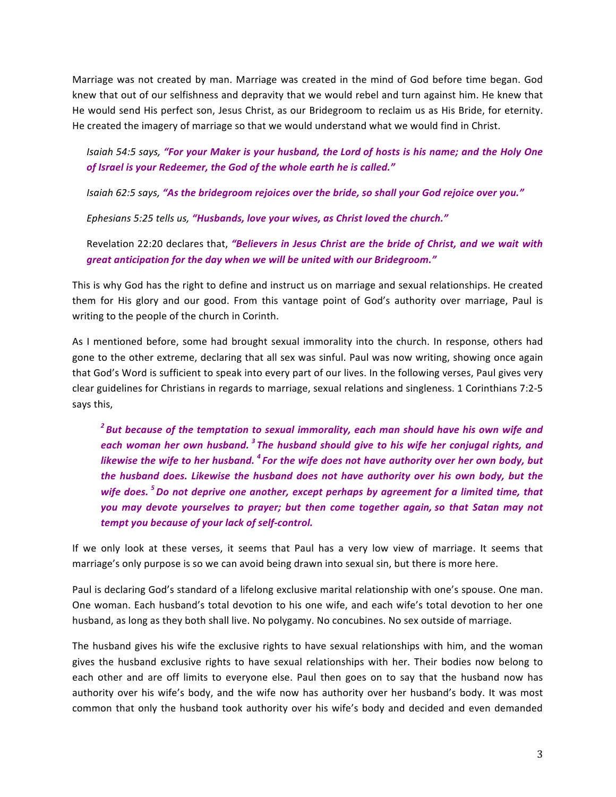Marriage was not created by man. Marriage was created in the mind of God before time began. God knew that out of our selfishness and depravity that we would rebel and turn against him. He knew that He would send His perfect son, Jesus Christ, as our Bridegroom to reclaim us as His Bride, for eternity. He created the imagery of marriage so that we would understand what we would find in Christ.

*Isaiah* 54:5 says, "For your Maker is your husband, the Lord of hosts is his name; and the Holy One of Israel is your Redeemer, the God of the whole earth he is called."

Isaiah 62:5 says, "As the bridegroom rejoices over the bride, so shall your God rejoice over you."

Ephesians 5:25 tells us, "Husbands, love your wives, as Christ loved the church."

Revelation 22:20 declares that, "Believers in Jesus Christ are the bride of Christ, and we wait with great anticipation for the day when we will be united with our Bridegroom."

This is why God has the right to define and instruct us on marriage and sexual relationships. He created them for His glory and our good. From this vantage point of God's authority over marriage, Paul is writing to the people of the church in Corinth.

As I mentioned before, some had brought sexual immorality into the church. In response, others had gone to the other extreme, declaring that all sex was sinful. Paul was now writing, showing once again that God's Word is sufficient to speak into every part of our lives. In the following verses, Paul gives very clear guidelines for Christians in regards to marriage, sexual relations and singleness. 1 Corinthians 7:2-5 says this,

<sup>2</sup> But because of the temptation to sexual immorality, each man should have his own wife and each woman her own husband.<sup>3</sup> The husband should give to his wife her conjugal rights, and *likewise* the wife to her husband. <sup>4</sup> For the wife does not have authority over her own body, but *the husband does. Likewise the husband does not have authority over his own body, but the wife* does. <sup>5</sup>Do not deprive one another, except perhaps by agreement for a limited time, that you may devote yourselves to prayer; but then come together again, so that Satan may not *tempt you because of your lack of self-control.* 

If we only look at these verses, it seems that Paul has a very low view of marriage. It seems that marriage's only purpose is so we can avoid being drawn into sexual sin, but there is more here.

Paul is declaring God's standard of a lifelong exclusive marital relationship with one's spouse. One man. One woman. Each husband's total devotion to his one wife, and each wife's total devotion to her one husband, as long as they both shall live. No polygamy. No concubines. No sex outside of marriage.

The husband gives his wife the exclusive rights to have sexual relationships with him, and the woman gives the husband exclusive rights to have sexual relationships with her. Their bodies now belong to each other and are off limits to everyone else. Paul then goes on to say that the husband now has authority over his wife's body, and the wife now has authority over her husband's body. It was most common that only the husband took authority over his wife's body and decided and even demanded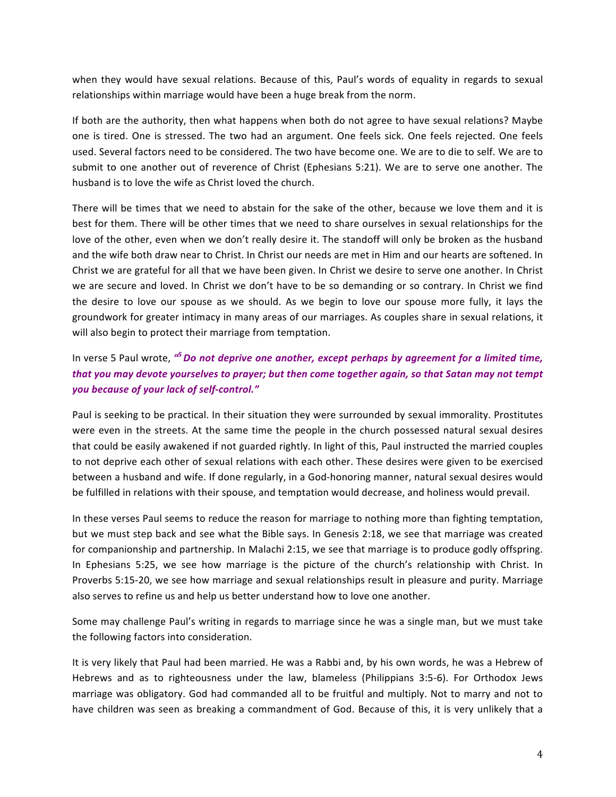when they would have sexual relations. Because of this, Paul's words of equality in regards to sexual relationships within marriage would have been a huge break from the norm.

If both are the authority, then what happens when both do not agree to have sexual relations? Maybe one is tired. One is stressed. The two had an argument. One feels sick. One feels rejected. One feels used. Several factors need to be considered. The two have become one. We are to die to self. We are to submit to one another out of reverence of Christ (Ephesians 5:21). We are to serve one another. The husband is to love the wife as Christ loved the church.

There will be times that we need to abstain for the sake of the other, because we love them and it is best for them. There will be other times that we need to share ourselves in sexual relationships for the love of the other, even when we don't really desire it. The standoff will only be broken as the husband and the wife both draw near to Christ. In Christ our needs are met in Him and our hearts are softened. In Christ we are grateful for all that we have been given. In Christ we desire to serve one another. In Christ we are secure and loved. In Christ we don't have to be so demanding or so contrary. In Christ we find the desire to love our spouse as we should. As we begin to love our spouse more fully, it lays the groundwork for greater intimacy in many areas of our marriages. As couples share in sexual relations, it will also begin to protect their marriage from temptation.

## In verse 5 Paul wrote, <sup>*is*</sup> Do not deprive one another, except perhaps by agreement for a limited time, *that* you may devote yourselves to prayer; but then come together again, so that Satan may not tempt *you because of your lack of self-control."*

Paul is seeking to be practical. In their situation they were surrounded by sexual immorality. Prostitutes were even in the streets. At the same time the people in the church possessed natural sexual desires that could be easily awakened if not guarded rightly. In light of this, Paul instructed the married couples to not deprive each other of sexual relations with each other. These desires were given to be exercised between a husband and wife. If done regularly, in a God-honoring manner, natural sexual desires would be fulfilled in relations with their spouse, and temptation would decrease, and holiness would prevail.

In these verses Paul seems to reduce the reason for marriage to nothing more than fighting temptation, but we must step back and see what the Bible says. In Genesis 2:18, we see that marriage was created for companionship and partnership. In Malachi 2:15, we see that marriage is to produce godly offspring. In Ephesians 5:25, we see how marriage is the picture of the church's relationship with Christ. In Proverbs 5:15-20, we see how marriage and sexual relationships result in pleasure and purity. Marriage also serves to refine us and help us better understand how to love one another.

Some may challenge Paul's writing in regards to marriage since he was a single man, but we must take the following factors into consideration.

It is very likely that Paul had been married. He was a Rabbi and, by his own words, he was a Hebrew of Hebrews and as to righteousness under the law, blameless (Philippians 3:5-6). For Orthodox Jews marriage was obligatory. God had commanded all to be fruitful and multiply. Not to marry and not to have children was seen as breaking a commandment of God. Because of this, it is very unlikely that a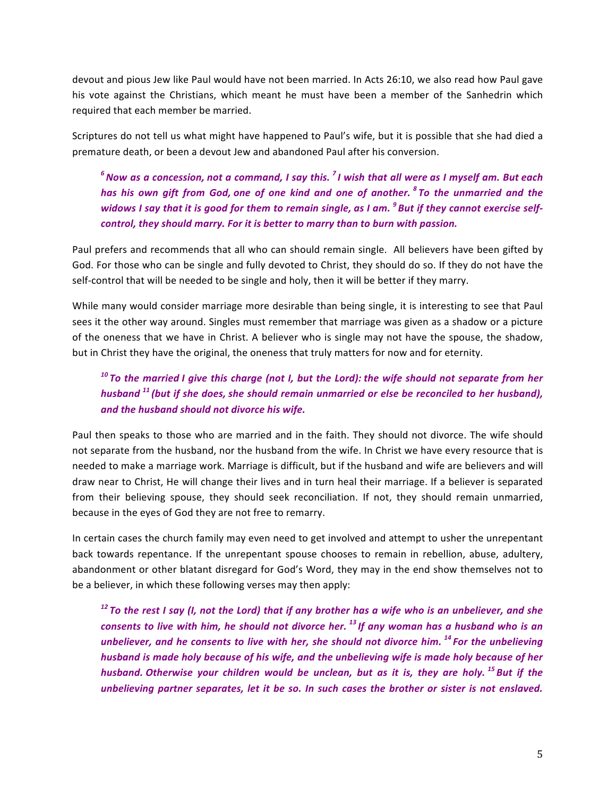devout and pious Jew like Paul would have not been married. In Acts 26:10, we also read how Paul gave his vote against the Christians, which meant he must have been a member of the Sanhedrin which required that each member be married.

Scriptures do not tell us what might have happened to Paul's wife, but it is possible that she had died a premature death, or been a devout Jew and abandoned Paul after his conversion.

<sup>6</sup> Now as a concession, not a command, I say this.<sup>7</sup> I wish that all were as I myself am. But each *has* his own gift from God, one of one kind and one of another. <sup>8</sup> To the unmarried and the *widows I say that it is good for them to remain single, as I am.* <sup>9</sup> *But if they cannot exercise selfcontrol, they should marry. For it is better to marry than to burn with passion.* 

Paul prefers and recommends that all who can should remain single. All believers have been gifted by God. For those who can be single and fully devoted to Christ, they should do so. If they do not have the self-control that will be needed to be single and holy, then it will be better if they marry.

While many would consider marriage more desirable than being single, it is interesting to see that Paul sees it the other way around. Singles must remember that marriage was given as a shadow or a picture of the oneness that we have in Christ. A believer who is single may not have the spouse, the shadow, but in Christ they have the original, the oneness that truly matters for now and for eternity.

# <sup>10</sup> To the married *I* give this charge (not *I*, but the Lord): the wife should not separate from her *husband* <sup>11</sup> (but if she does, she should remain unmarried or else be reconciled to her husband), and the husband should not divorce his wife.

Paul then speaks to those who are married and in the faith. They should not divorce. The wife should not separate from the husband, nor the husband from the wife. In Christ we have every resource that is needed to make a marriage work. Marriage is difficult, but if the husband and wife are believers and will draw near to Christ, He will change their lives and in turn heal their marriage. If a believer is separated from their believing spouse, they should seek reconciliation. If not, they should remain unmarried, because in the eyes of God they are not free to remarry.

In certain cases the church family may even need to get involved and attempt to usher the unrepentant back towards repentance. If the unrepentant spouse chooses to remain in rebellion, abuse, adultery, abandonment or other blatant disregard for God's Word, they may in the end show themselves not to be a believer, in which these following verses may then apply:

<sup>12</sup> To the rest I say (I, not the Lord) that if any brother has a wife who is an unbeliever, and she *consents to live with him, he should not divorce her.* <sup>13</sup> *If any woman has a husband who is an unbeliever, and he consents to live with her, she should not divorce him.* <sup>14</sup> For the unbelieving *husband is made holy because of his wife, and the unbelieving wife is made holy because of her husband.* Otherwise your children would be unclean, but as it is, they are holy. <sup>15</sup> But if the *unbelieving partner separates, let it be so. In such cases the brother or sister is not enslaved.*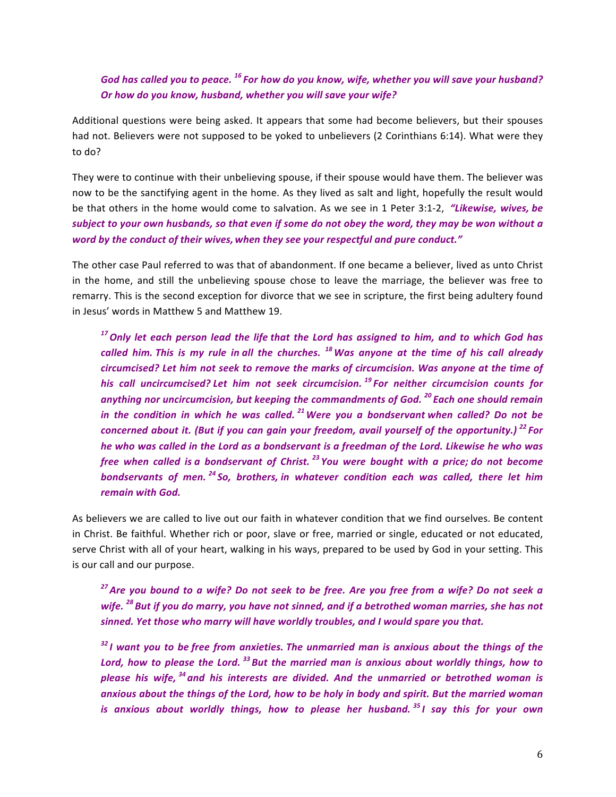*God has called you to peace.* <sup>16</sup> *For how do you know, wife, whether you will save your husband? Or how do you know, husband, whether you will save your wife?* 

Additional questions were being asked. It appears that some had become believers, but their spouses had not. Believers were not supposed to be yoked to unbelievers (2 Corinthians 6:14). What were they to do?

They were to continue with their unbelieving spouse, if their spouse would have them. The believer was now to be the sanctifying agent in the home. As they lived as salt and light, hopefully the result would be that others in the home would come to salvation. As we see in 1 Peter 3:1-2, *"Likewise, wives, be* subject to your own husbands, so that even if some do not obey the word, they may be won without a *word by the conduct of their wives, when they see your respectful and pure conduct."* 

The other case Paul referred to was that of abandonment. If one became a believer, lived as unto Christ in the home, and still the unbelieving spouse chose to leave the marriage, the believer was free to remarry. This is the second exception for divorce that we see in scripture, the first being adultery found in Jesus' words in Matthew 5 and Matthew 19.

<sup>17</sup> Only let each person lead the life that the Lord has assigned to him, and to which God has *called him. This is my rule in all the churches.* <sup>18</sup> Was anyone at the time of his call already *circumcised?* Let him not seek to remove the marks of circumcision. Was anyone at the time of *his* call uncircumcised? Let him not seek circumcision. <sup>19</sup> For neither circumcision counts for anything nor uncircumcision, but keeping the commandments of God.<sup>20</sup> Each one should remain *in* the condition in which he was called.<sup>21</sup> Were you a bondservant when called? Do not be *concerned about it. (But if you can gain your freedom, avail yourself of the opportunity.)* <sup>22</sup> *For he* who was called in the Lord as a bondservant is a freedman of the Lord. Likewise he who was *free* when called is a bondservant of Christ.<sup>23</sup> You were bought with a price; do not become *bondservants* of men. <sup>24</sup> So, brothers, in whatever condition each was called, there let him *remain with God.*

As believers we are called to live out our faith in whatever condition that we find ourselves. Be content in Christ. Be faithful. Whether rich or poor, slave or free, married or single, educated or not educated, serve Christ with all of your heart, walking in his ways, prepared to be used by God in your setting. This is our call and our purpose.

<sup>27</sup> Are you bound to a wife? Do not seek to be free. Are you free from a wife? Do not seek a *wife.* <sup>28</sup> But if you do marry, you have not sinned, and if a betrothed woman marries, she has not sinned. Yet those who marry will have worldly troubles, and I would spare you that.

<sup>32</sup> *I* want you to be free from anxieties. The unmarried man is anxious about the things of the Lord, how to please the Lord. <sup>33</sup> But the married man is anxious about worldly things, how to please his wife, <sup>34</sup> and his interests are divided. And the unmarried or betrothed woman is anxious about the things of the Lord, how to be holy in body and spirit. But the married woman *is* anxious about worldly things, how to please her husband. <sup>35</sup> I say this for your own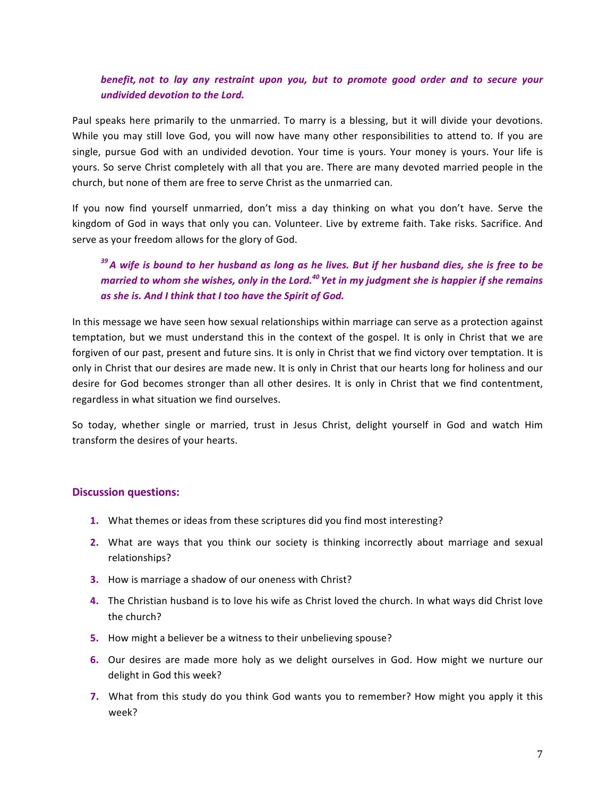### *benefit, not to lay any restraint upon you, but to promote good order and to secure your undivided devotion to the Lord.*

Paul speaks here primarily to the unmarried. To marry is a blessing, but it will divide your devotions. While you may still love God, you will now have many other responsibilities to attend to. If you are single, pursue God with an undivided devotion. Your time is yours. Your money is yours. Your life is yours. So serve Christ completely with all that you are. There are many devoted married people in the church, but none of them are free to serve Christ as the unmarried can.

If you now find yourself unmarried, don't miss a day thinking on what you don't have. Serve the kingdom of God in ways that only you can. Volunteer. Live by extreme faith. Take risks. Sacrifice. And serve as your freedom allows for the glory of God.

<sup>39</sup> A wife is bound to her husband as long as he lives. But if her husband dies, she is free to be *married to whom she wishes, only in the Lord.*<sup>40</sup> *Yet in my judgment she is happier if she remains as she is. And I think that I too have the Spirit of God.* 

In this message we have seen how sexual relationships within marriage can serve as a protection against temptation, but we must understand this in the context of the gospel. It is only in Christ that we are forgiven of our past, present and future sins. It is only in Christ that we find victory over temptation. It is only in Christ that our desires are made new. It is only in Christ that our hearts long for holiness and our desire for God becomes stronger than all other desires. It is only in Christ that we find contentment, regardless in what situation we find ourselves.

So today, whether single or married, trust in Jesus Christ, delight yourself in God and watch Him transform the desires of your hearts.

#### **Discussion questions:**

- **1.** What themes or ideas from these scriptures did you find most interesting?
- **2.** What are ways that you think our society is thinking incorrectly about marriage and sexual relationships?
- **3.** How is marriage a shadow of our oneness with Christ?
- **4.** The Christian husband is to love his wife as Christ loved the church. In what ways did Christ love the church?
- **5.** How might a believer be a witness to their unbelieving spouse?
- **6.** Our desires are made more holy as we delight ourselves in God. How might we nurture our delight in God this week?
- **7.** What from this study do you think God wants you to remember? How might you apply it this week?